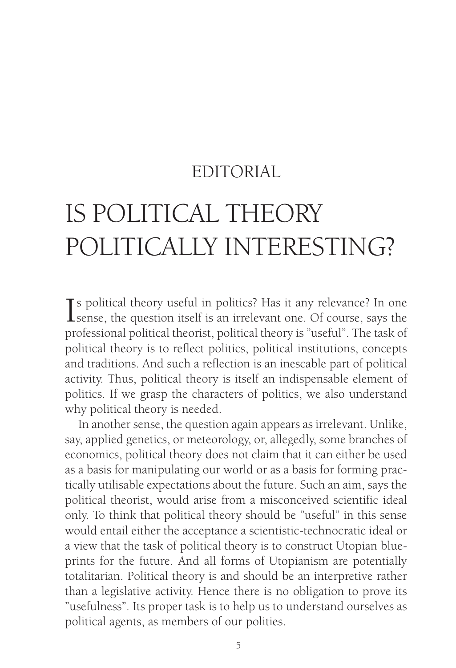## EDITORIAL

# IS POLITICAL THEORY POLITICALLY INTERESTING?

If s political theory useful in politics? Has it any relevance? In one<br>sense, the question itself is an irrelevant one. Of course, says the sense, the question itself is an irrelevant one. Of course, says the professional political theorist, political theory is "useful". The task of political theory is to reflect politics, political institutions, concepts and traditions. And such a reflection is an inescable part of political activity. Thus, political theory is itself an indispensable element of politics. If we grasp the characters of politics, we also understand why political theory is needed.

In another sense, the question again appears as irrelevant. Unlike, say, applied genetics, or meteorology, or, allegedly, some branches of economics, political theory does not claim that it can either be used as a basis for manipulating our world or as a basis for forming practically utilisable expectations about the future. Such an aim, says the political theorist, would arise from a misconceived scientific ideal only. To think that political theory should be "useful" in this sense would entail either the acceptance a scientistic-technocratic ideal or a view that the task of political theory is to construct Utopian blueprints for the future. And all forms of Utopianism are potentially totalitarian. Political theory is and should be an interpretive rather than a legislative activity. Hence there is no obligation to prove its "usefulness". Its proper task is to help us to understand ourselves as political agents, as members of our polities.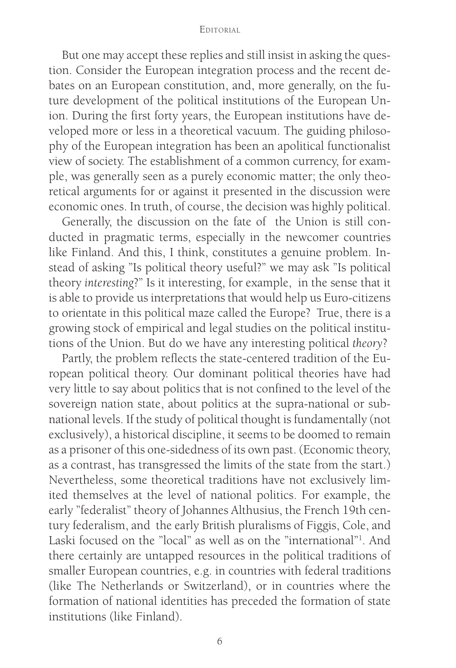#### **EDITORIAL**

But one may accept these replies and still insist in asking the question. Consider the European integration process and the recent debates on an European constitution, and, more generally, on the future development of the political institutions of the European Union. During the first forty years, the European institutions have developed more or less in a theoretical vacuum. The guiding philosophy of the European integration has been an apolitical functionalist view of society. The establishment of a common currency, for example, was generally seen as a purely economic matter; the only theoretical arguments for or against it presented in the discussion were economic ones. In truth, of course, the decision was highly political.

Generally, the discussion on the fate of the Union is still conducted in pragmatic terms, especially in the newcomer countries like Finland. And this, I think, constitutes a genuine problem. Instead of asking "Is political theory useful?" we may ask "Is political theory *interesting*?" Is it interesting, for example, in the sense that it is able to provide us interpretations that would help us Euro-citizens to orientate in this political maze called the Europe? True, there is a growing stock of empirical and legal studies on the political institutions of the Union. But do we have any interesting political *theory*?

Partly, the problem reflects the state-centered tradition of the European political theory. Our dominant political theories have had very little to say about politics that is not confined to the level of the sovereign nation state, about politics at the supra-national or subnational levels. If the study of political thought is fundamentally (not exclusively), a historical discipline, it seems to be doomed to remain as a prisoner of this one-sidedness of its own past. (Economic theory, as a contrast, has transgressed the limits of the state from the start.) Nevertheless, some theoretical traditions have not exclusively limited themselves at the level of national politics. For example, the early "federalist" theory of Johannes Althusius, the French 19th century federalism, and the early British pluralisms of Figgis, Cole, and Laski focused on the "local" as well as on the "international"1 . And there certainly are untapped resources in the political traditions of smaller European countries, e.g. in countries with federal traditions (like The Netherlands or Switzerland), or in countries where the formation of national identities has preceded the formation of state institutions (like Finland).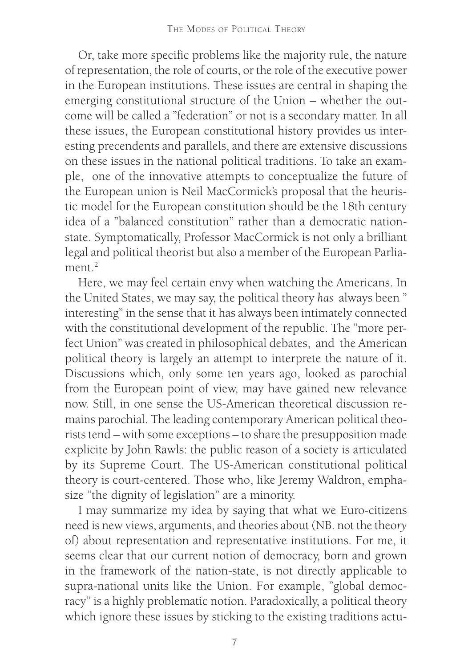Or, take more specific problems like the majority rule, the nature of representation, the role of courts, or the role of the executive power in the European institutions. These issues are central in shaping the emerging constitutional structure of the Union – whether the outcome will be called a "federation" or not is a secondary matter. In all these issues, the European constitutional history provides us interesting precendents and parallels, and there are extensive discussions on these issues in the national political traditions. To take an example, one of the innovative attempts to conceptualize the future of the European union is Neil MacCormick's proposal that the heuristic model for the European constitution should be the 18th century idea of a "balanced constitution" rather than a democratic nationstate. Symptomatically, Professor MacCormick is not only a brilliant legal and political theorist but also a member of the European Parliament $2$ 

Here, we may feel certain envy when watching the Americans. In the United States, we may say, the political theory *has* always been " interesting" in the sense that it has always been intimately connected with the constitutional development of the republic. The "more perfect Union" was created in philosophical debates, and the American political theory is largely an attempt to interprete the nature of it. Discussions which, only some ten years ago, looked as parochial from the European point of view, may have gained new relevance now. Still, in one sense the US-American theoretical discussion remains parochial. The leading contemporary American political theorists tend – with some exceptions – to share the presupposition made explicite by John Rawls: the public reason of a society is articulated by its Supreme Court. The US-American constitutional political theory is court-centered. Those who, like Jeremy Waldron, emphasize "the dignity of legislation" are a minority.

I may summarize my idea by saying that what we Euro-citizens need is new views, arguments, and theories about (NB. not the theo*ry* of) about representation and representative institutions. For me, it seems clear that our current notion of democracy, born and grown in the framework of the nation-state, is not directly applicable to supra-national units like the Union. For example, "global democracy" is a highly problematic notion. Paradoxically, a political theory which ignore these issues by sticking to the existing traditions actu-